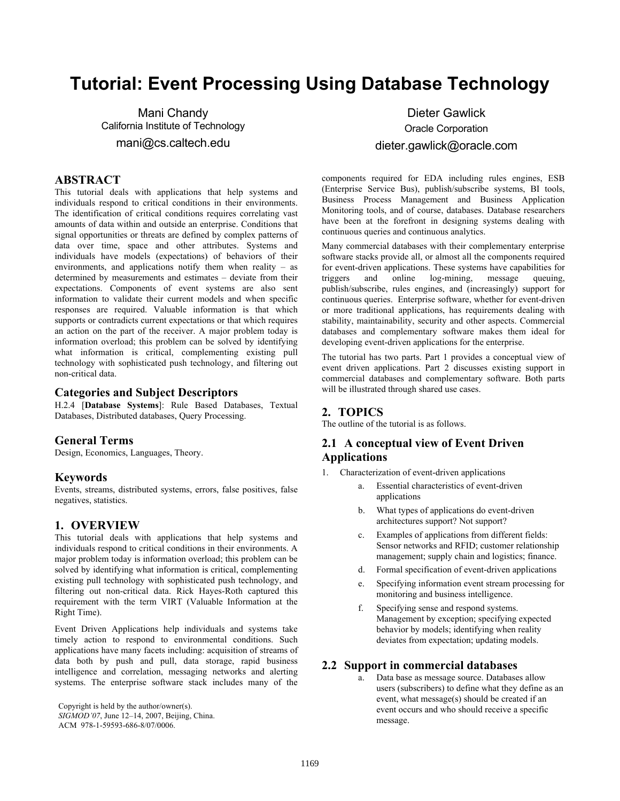# **Tutorial: Event Processing Using Database Technology**

Mani Chandy California Institute of Technology mani@cs.caltech.edu

### **ABSTRACT**

This tutorial deals with applications that help systems and individuals respond to critical conditions in their environments. The identification of critical conditions requires correlating vast amounts of data within and outside an enterprise. Conditions that signal opportunities or threats are defined by complex patterns of data over time, space and other attributes. Systems and individuals have models (expectations) of behaviors of their environments, and applications notify them when reality – as determined by measurements and estimates – deviate from their expectations. Components of event systems are also sent information to validate their current models and when specific responses are required. Valuable information is that which supports or contradicts current expectations or that which requires an action on the part of the receiver. A major problem today is information overload; this problem can be solved by identifying what information is critical, complementing existing pull technology with sophisticated push technology, and filtering out non-critical data.

#### **Categories and Subject Descriptors**

H.2.4 [**Database Systems**]: Rule Based Databases, Textual Databases, Distributed databases, Query Processing.

#### **General Terms**

Design, Economics, Languages, Theory.

#### **Keywords**

Events, streams, distributed systems, errors, false positives, false negatives, statistics.

#### **1. OVERVIEW**

This tutorial deals with applications that help systems and individuals respond to critical conditions in their environments. A major problem today is information overload; this problem can be solved by identifying what information is critical, complementing existing pull technology with sophisticated push technology, and filtering out non-critical data. Rick Hayes-Roth captured this requirement with the term VIRT (Valuable Information at the Right Time).

Event Driven Applications help individuals and systems take timely action to respond to environmental conditions. Such applications have many facets including: acquisition of streams of data both by push and pull, data storage, rapid business intelligence and correlation, messaging networks and alerting systems. The enterprise software stack includes many of the

Copyright is held by the author/owner(s).

Dieter Gawlick Oracle Corporation dieter.gawlick@oracle.com

components required for EDA including rules engines, ESB (Enterprise Service Bus), publish/subscribe systems, BI tools, Business Process Management and Business Application Monitoring tools, and of course, databases. Database researchers have been at the forefront in designing systems dealing with continuous queries and continuous analytics.

Many commercial databases with their complementary enterprise software stacks provide all, or almost all the components required for event-driven applications. These systems have capabilities for triggers and online log-mining, message queuing, publish/subscribe, rules engines, and (increasingly) support for continuous queries. Enterprise software, whether for event-driven or more traditional applications, has requirements dealing with stability, maintainability, security and other aspects. Commercial databases and complementary software makes them ideal for developing event-driven applications for the enterprise.

The tutorial has two parts. Part 1 provides a conceptual view of event driven applications. Part 2 discusses existing support in commercial databases and complementary software. Both parts will be illustrated through shared use cases.

## **2. TOPICS**

The outline of the tutorial is as follows.

## **2.1 A conceptual view of Event Driven Applications**

- 1. Characterization of event-driven applications
	- a. Essential characteristics of event-driven applications
	- b. What types of applications do event-driven architectures support? Not support?
	- c. Examples of applications from different fields: Sensor networks and RFID; customer relationship management; supply chain and logistics; finance.
	- d. Formal specification of event-driven applications
	- e. Specifying information event stream processing for monitoring and business intelligence.
	- f. Specifying sense and respond systems. Management by exception; specifying expected behavior by models; identifying when reality deviates from expectation; updating models.

#### **2.2 Support in commercial databases**

a. Data base as message source. Databases allow users (subscribers) to define what they define as an event, what message(s) should be created if an event occurs and who should receive a specific message.

*SIGMOD'07*, June 12–14, 2007, Beijing, China. ACM 978-1-59593-686-8/07/0006.